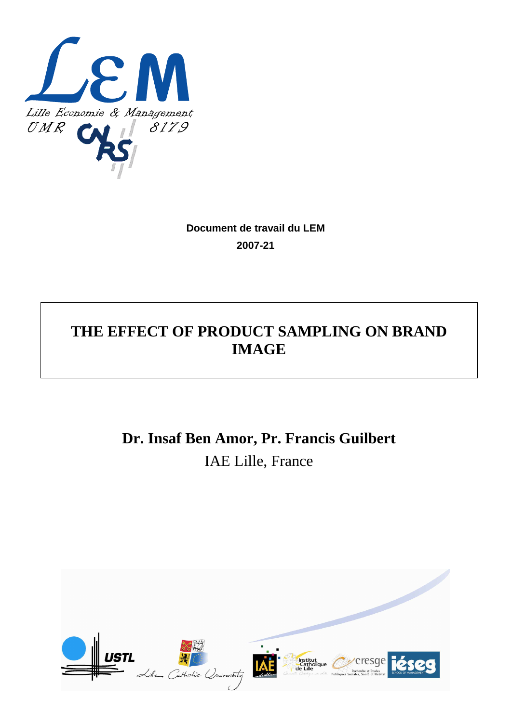

**Document de travail du LEM 2007-21** 

# **THE EFFECT OF PRODUCT SAMPLING ON BRAND IMAGE**

# **Dr. Insaf Ben Amor, Pr. Francis Guilbert** IAE Lille, France

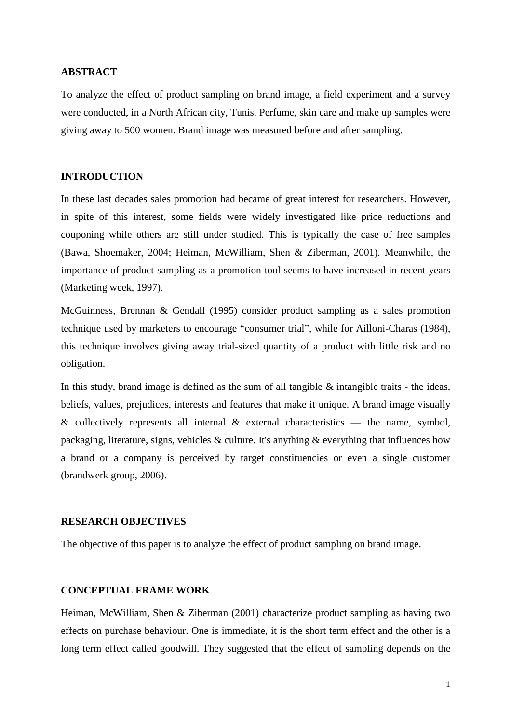# **ABSTRACT**

To analyze the effect of product sampling on brand image, a field experiment and a survey were conducted, in a North African city, Tunis. Perfume, skin care and make up samples were giving away to 500 women. Brand image was measured before and after sampling.

#### **INTRODUCTION**

In these last decades sales promotion had became of great interest for researchers. However, in spite of this interest, some fields were widely investigated like price reductions and couponing while others are still under studied. This is typically the case of free samples (Bawa, Shoemaker, 2004; Heiman, McWilliam, Shen & Ziberman, 2001). Meanwhile, the importance of product sampling as a promotion tool seems to have increased in recent years (Marketing week, 1997).

McGuinness, Brennan & Gendall (1995) consider product sampling as a sales promotion technique used by marketers to encourage "consumer trial", while for Ailloni-Charas (1984), this technique involves giving away trial-sized quantity of a product with little risk and no obligation.

In this study, brand image is defined as the sum of all tangible  $\&$  intangible traits - the ideas, beliefs, values, prejudices, interests and features that make it unique. A brand image visually  $\&$  collectively represents all internal  $\&$  external characteristics — the name, symbol, packaging, literature, signs, vehicles  $\&$  culture. It's anything  $\&$  everything that influences how a brand or a company is perceived by target constituencies or even a single customer (brandwerk group, 2006).

## **RESEARCH OBJECTIVES**

The objective of this paper is to analyze the effect of product sampling on brand image.

#### **CONCEPTUAL FRAME WORK**

Heiman, McWilliam, Shen & Ziberman (2001) characterize product sampling as having two effects on purchase behaviour. One is immediate, it is the short term effect and the other is a long term effect called goodwill. They suggested that the effect of sampling depends on the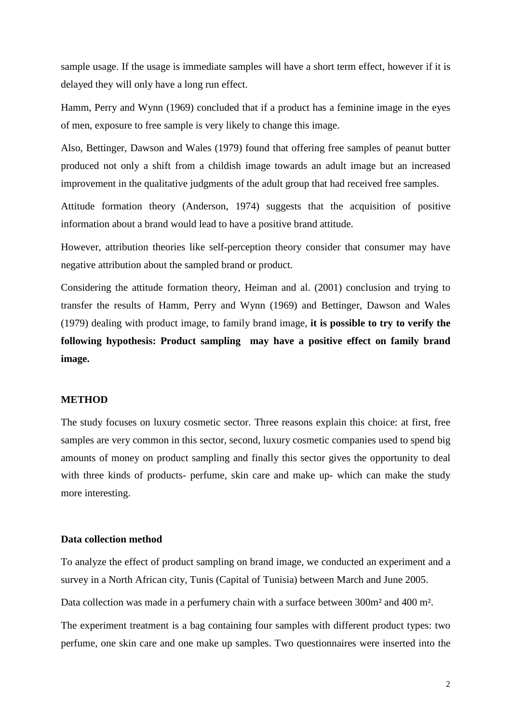sample usage. If the usage is immediate samples will have a short term effect, however if it is delayed they will only have a long run effect.

Hamm, Perry and Wynn (1969) concluded that if a product has a feminine image in the eyes of men, exposure to free sample is very likely to change this image.

Also, Bettinger, Dawson and Wales (1979) found that offering free samples of peanut butter produced not only a shift from a childish image towards an adult image but an increased improvement in the qualitative judgments of the adult group that had received free samples.

Attitude formation theory (Anderson, 1974) suggests that the acquisition of positive information about a brand would lead to have a positive brand attitude.

However, attribution theories like self-perception theory consider that consumer may have negative attribution about the sampled brand or product.

Considering the attitude formation theory, Heiman and al. (2001) conclusion and trying to transfer the results of Hamm, Perry and Wynn (1969) and Bettinger, Dawson and Wales (1979) dealing with product image, to family brand image, **it is possible to try to verify the following hypothesis: Product sampling may have a positive effect on family brand image.** 

#### **METHOD**

The study focuses on luxury cosmetic sector. Three reasons explain this choice: at first, free samples are very common in this sector, second, luxury cosmetic companies used to spend big amounts of money on product sampling and finally this sector gives the opportunity to deal with three kinds of products- perfume, skin care and make up- which can make the study more interesting.

#### **Data collection method**

To analyze the effect of product sampling on brand image, we conducted an experiment and a survey in a North African city, Tunis (Capital of Tunisia) between March and June 2005.

Data collection was made in a perfumery chain with a surface between 300m² and 400 m².

The experiment treatment is a bag containing four samples with different product types: two perfume, one skin care and one make up samples. Two questionnaires were inserted into the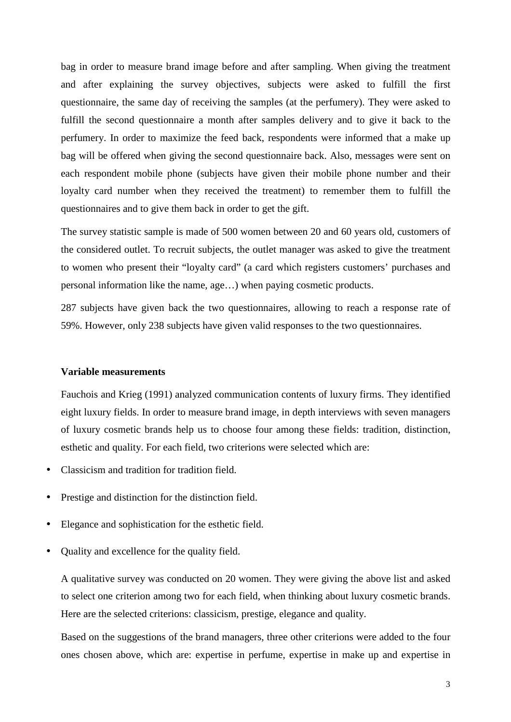bag in order to measure brand image before and after sampling. When giving the treatment and after explaining the survey objectives, subjects were asked to fulfill the first questionnaire, the same day of receiving the samples (at the perfumery). They were asked to fulfill the second questionnaire a month after samples delivery and to give it back to the perfumery. In order to maximize the feed back, respondents were informed that a make up bag will be offered when giving the second questionnaire back. Also, messages were sent on each respondent mobile phone (subjects have given their mobile phone number and their loyalty card number when they received the treatment) to remember them to fulfill the questionnaires and to give them back in order to get the gift.

The survey statistic sample is made of 500 women between 20 and 60 years old, customers of the considered outlet. To recruit subjects, the outlet manager was asked to give the treatment to women who present their "loyalty card" (a card which registers customers' purchases and personal information like the name, age…) when paying cosmetic products.

287 subjects have given back the two questionnaires, allowing to reach a response rate of 59%. However, only 238 subjects have given valid responses to the two questionnaires.

## **Variable measurements**

Fauchois and Krieg (1991) analyzed communication contents of luxury firms. They identified eight luxury fields. In order to measure brand image, in depth interviews with seven managers of luxury cosmetic brands help us to choose four among these fields: tradition, distinction, esthetic and quality. For each field, two criterions were selected which are:

- Classicism and tradition for tradition field.
- Prestige and distinction for the distinction field.
- Elegance and sophistication for the esthetic field.
- Quality and excellence for the quality field.

A qualitative survey was conducted on 20 women. They were giving the above list and asked to select one criterion among two for each field, when thinking about luxury cosmetic brands. Here are the selected criterions: classicism, prestige, elegance and quality.

Based on the suggestions of the brand managers, three other criterions were added to the four ones chosen above, which are: expertise in perfume, expertise in make up and expertise in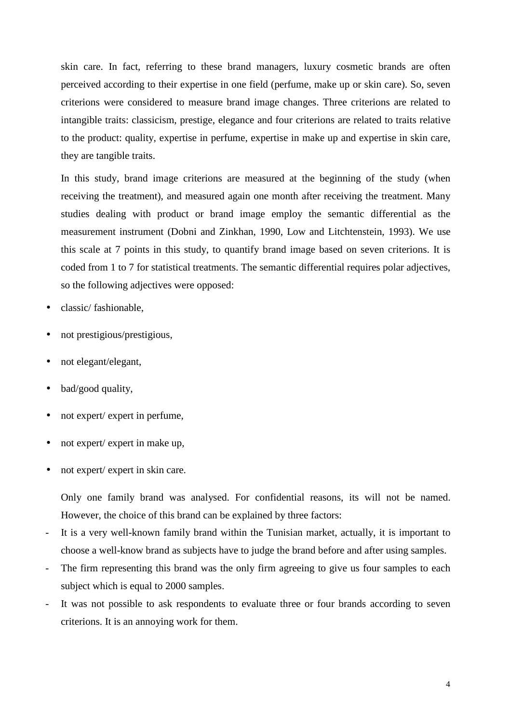skin care. In fact, referring to these brand managers, luxury cosmetic brands are often perceived according to their expertise in one field (perfume, make up or skin care). So, seven criterions were considered to measure brand image changes. Three criterions are related to intangible traits: classicism, prestige, elegance and four criterions are related to traits relative to the product: quality, expertise in perfume, expertise in make up and expertise in skin care, they are tangible traits.

In this study, brand image criterions are measured at the beginning of the study (when receiving the treatment), and measured again one month after receiving the treatment. Many studies dealing with product or brand image employ the semantic differential as the measurement instrument (Dobni and Zinkhan, 1990, Low and Litchtenstein, 1993). We use this scale at 7 points in this study, to quantify brand image based on seven criterions. It is coded from 1 to 7 for statistical treatments. The semantic differential requires polar adjectives, so the following adjectives were opposed:

- classic/ fashionable,
- not prestigious/prestigious,
- not elegant/elegant,
- bad/good quality,
- not expert/ expert in perfume,
- not expert/ expert in make up,
- not expert/ expert in skin care.

Only one family brand was analysed. For confidential reasons, its will not be named. However, the choice of this brand can be explained by three factors:

- It is a very well-known family brand within the Tunisian market, actually, it is important to choose a well-know brand as subjects have to judge the brand before and after using samples.
- The firm representing this brand was the only firm agreeing to give us four samples to each subject which is equal to 2000 samples.
- It was not possible to ask respondents to evaluate three or four brands according to seven criterions. It is an annoying work for them.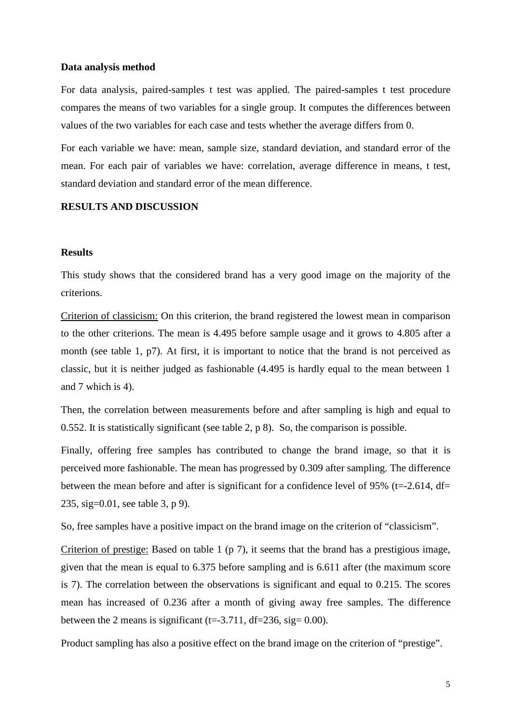#### **Data analysis method**

For data analysis, paired-samples t test was applied. The paired-samples t test procedure compares the means of two variables for a single group. It computes the differences between values of the two variables for each case and tests whether the average differs from 0.

For each variable we have: mean, sample size, standard deviation, and standard error of the mean. For each pair of variables we have: correlation, average difference in means, t test, standard deviation and standard error of the mean difference.

# **RESULTS AND DISCUSSION**

#### **Results**

This study shows that the considered brand has a very good image on the majority of the criterions.

Criterion of classicism: On this criterion, the brand registered the lowest mean in comparison to the other criterions. The mean is 4.495 before sample usage and it grows to 4.805 after a month (see table 1, p7). At first, it is important to notice that the brand is not perceived as classic, but it is neither judged as fashionable (4.495 is hardly equal to the mean between 1 and 7 which is 4).

Then, the correlation between measurements before and after sampling is high and equal to 0.552. It is statistically significant (see table 2, p 8). So, the comparison is possible.

Finally, offering free samples has contributed to change the brand image, so that it is perceived more fashionable. The mean has progressed by 0.309 after sampling. The difference between the mean before and after is significant for a confidence level of 95% (t=-2.614,  $df=$ 235, sig=0.01, see table 3, p 9).

So, free samples have a positive impact on the brand image on the criterion of "classicism".

Criterion of prestige: Based on table 1 (p 7), it seems that the brand has a prestigious image, given that the mean is equal to 6.375 before sampling and is 6.611 after (the maximum score is 7). The correlation between the observations is significant and equal to 0.215. The scores mean has increased of 0.236 after a month of giving away free samples. The difference between the 2 means is significant  $(t=3.711, df=236, sig= 0.00)$ .

Product sampling has also a positive effect on the brand image on the criterion of "prestige".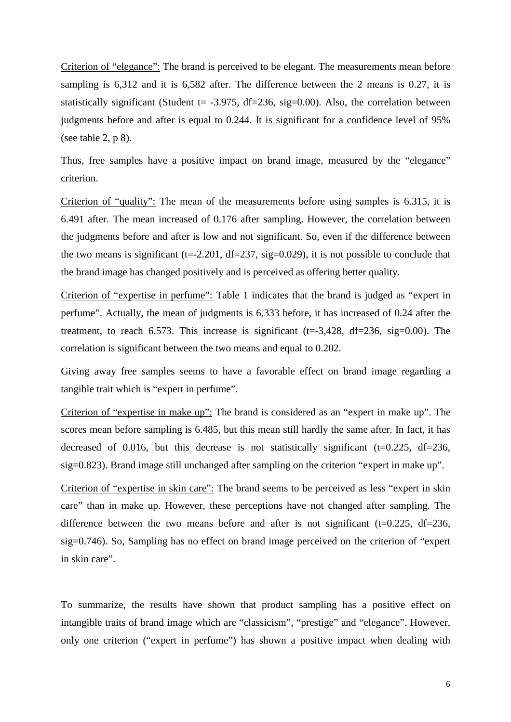Criterion of "elegance": The brand is perceived to be elegant. The measurements mean before sampling is 6,312 and it is 6,582 after. The difference between the 2 means is 0.27, it is statistically significant (Student  $t = -3.975$ , df=236, sig=0.00). Also, the correlation between judgments before and after is equal to 0.244. It is significant for a confidence level of 95% (see table 2, p 8).

Thus, free samples have a positive impact on brand image, measured by the "elegance" criterion.

Criterion of "quality": The mean of the measurements before using samples is 6.315, it is 6.491 after. The mean increased of 0.176 after sampling. However, the correlation between the judgments before and after is low and not significant. So, even if the difference between the two means is significant (t=-2.201, df=237, sig=0.029), it is not possible to conclude that the brand image has changed positively and is perceived as offering better quality.

Criterion of "expertise in perfume": Table 1 indicates that the brand is judged as "expert in perfume". Actually, the mean of judgments is 6,333 before, it has increased of 0.24 after the treatment, to reach 6.573. This increase is significant  $(t=3,428, df=236, sig=0.00)$ . The correlation is significant between the two means and equal to 0.202.

Giving away free samples seems to have a favorable effect on brand image regarding a tangible trait which is "expert in perfume".

Criterion of "expertise in make up": The brand is considered as an "expert in make up". The scores mean before sampling is 6.485, but this mean still hardly the same after. In fact, it has decreased of 0.016, but this decrease is not statistically significant  $(t=0.225, df=236,$ sig=0.823). Brand image still unchanged after sampling on the criterion "expert in make up".

Criterion of "expertise in skin care": The brand seems to be perceived as less "expert in skin" care" than in make up. However, these perceptions have not changed after sampling. The difference between the two means before and after is not significant  $(t=0.225, df=236,$ sig=0.746). So, Sampling has no effect on brand image perceived on the criterion of "expert in skin care".

To summarize, the results have shown that product sampling has a positive effect on intangible traits of brand image which are "classicism", "prestige" and "elegance". However, only one criterion ("expert in perfume") has shown a positive impact when dealing with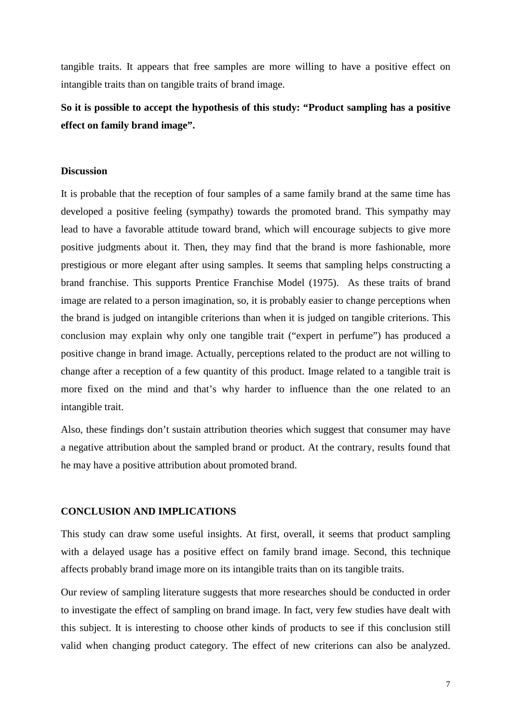tangible traits. It appears that free samples are more willing to have a positive effect on intangible traits than on tangible traits of brand image.

**So it is possible to accept the hypothesis of this study: "Product sampling has a positive effect on family brand image".** 

#### **Discussion**

It is probable that the reception of four samples of a same family brand at the same time has developed a positive feeling (sympathy) towards the promoted brand. This sympathy may lead to have a favorable attitude toward brand, which will encourage subjects to give more positive judgments about it. Then, they may find that the brand is more fashionable, more prestigious or more elegant after using samples. It seems that sampling helps constructing a brand franchise. This supports Prentice Franchise Model (1975). As these traits of brand image are related to a person imagination, so, it is probably easier to change perceptions when the brand is judged on intangible criterions than when it is judged on tangible criterions. This conclusion may explain why only one tangible trait ("expert in perfume") has produced a positive change in brand image. Actually, perceptions related to the product are not willing to change after a reception of a few quantity of this product. Image related to a tangible trait is more fixed on the mind and that's why harder to influence than the one related to an intangible trait.

Also, these findings don't sustain attribution theories which suggest that consumer may have a negative attribution about the sampled brand or product. At the contrary, results found that he may have a positive attribution about promoted brand.

#### **CONCLUSION AND IMPLICATIONS**

This study can draw some useful insights. At first, overall, it seems that product sampling with a delayed usage has a positive effect on family brand image. Second, this technique affects probably brand image more on its intangible traits than on its tangible traits.

Our review of sampling literature suggests that more researches should be conducted in order to investigate the effect of sampling on brand image. In fact, very few studies have dealt with this subject. It is interesting to choose other kinds of products to see if this conclusion still valid when changing product category. The effect of new criterions can also be analyzed.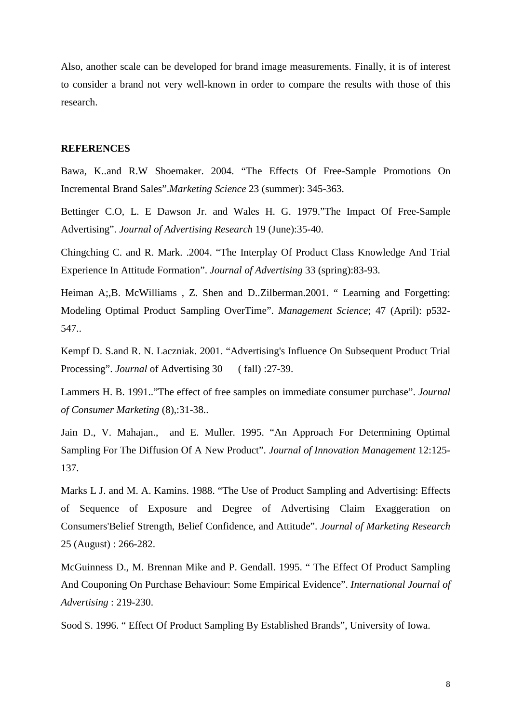Also, another scale can be developed for brand image measurements. Finally, it is of interest to consider a brand not very well-known in order to compare the results with those of this research.

## **REFERENCES**

Bawa, K..and R.W Shoemaker. 2004. "The Effects Of Free-Sample Promotions On Incremental Brand Sales".*Marketing Science* 23 (summer): 345-363.

Bettinger C.O, L. E Dawson Jr. and Wales H. G. 1979."The Impact Of Free-Sample Advertising". *Journal of Advertising Research* 19 (June):35-40.

Chingching C. and R. Mark. .2004. "The Interplay Of Product Class Knowledge And Trial Experience In Attitude Formation". *Journal of Advertising* 33 (spring):83-93.

Heiman A;,B. McWilliams , Z. Shen and D..Zilberman.2001. " Learning and Forgetting: Modeling Optimal Product Sampling OverTime". *Management Science*; 47 (April): p532- 547..

Kempf D. S.and R. N. Laczniak. 2001. "Advertising's Influence On Subsequent Product Trial Processing". *Journal* of Advertising 30 ( fall) :27-39.

Lammers H. B. 1991.."The effect of free samples on immediate consumer purchase". *Journal of Consumer Marketing* (8),:31-38..

Jain D., V. Mahajan., and E. Muller. 1995. "An Approach For Determining Optimal Sampling For The Diffusion Of A New Product". *Journal of Innovation Management* 12:125- 137.

Marks L J. and M. A. Kamins. 1988. "The Use of Product Sampling and Advertising: Effects of Sequence of Exposure and Degree of Advertising Claim Exaggeration on Consumers'Belief Strength, Belief Confidence, and Attitude". *Journal of Marketing Research* 25 (August) : 266-282.

McGuinness D., M. Brennan Mike and P. Gendall. 1995. " The Effect Of Product Sampling And Couponing On Purchase Behaviour: Some Empirical Evidence". *International Journal of Advertising* : 219-230.

Sood S. 1996. " Effect Of Product Sampling By Established Brands", University of Iowa.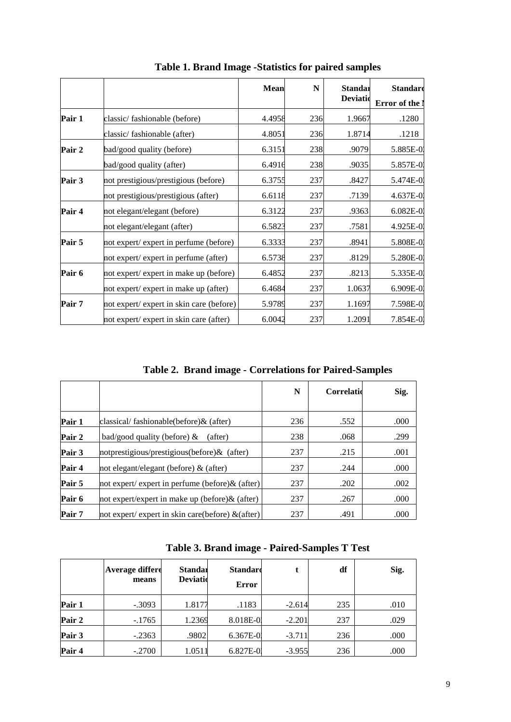|        |                                          | <b>Mean</b> | N   | <b>Standar</b><br><b>Deviatio</b> | <b>Standard</b><br>Error of the I |
|--------|------------------------------------------|-------------|-----|-----------------------------------|-----------------------------------|
| Pair 1 | classic/fashionable (before)             | 4.4958      | 236 | 1.9667                            | .1280                             |
|        | classic/fashionable (after)              | 4.8051      | 236 | 1.8714                            | .1218                             |
| Pair 2 | bad/good quality (before)                | 6.3151      | 238 | .9079                             | 5.885E-02                         |
|        | bad/good quality (after)                 | 6.4916      | 238 | .9035                             | 5.857E-02                         |
| Pair 3 | not prestigious/prestigious (before)     | 6.3755      | 237 | .8427                             | 5.474E-0.                         |
|        | not prestigious/prestigious (after)      | 6.6118      | 237 | .7139                             | 4.637E-0.                         |
| Pair 4 | not elegant/elegant (before)             | 6.3122      | 237 | .9363                             | 6.082E-01                         |
|        | not elegant/elegant (after)              | 6.5823      | 237 | .7581                             | $4.925E-0.1$                      |
| Pair 5 | not expert/ expert in perfume (before)   | 6.3333      | 237 | .8941                             | 5.808E-02                         |
|        | not expert/ expert in perfume (after)    | 6.5738      | 237 | .8129                             | 5.280E-02                         |
| Pair 6 | not expert/ expert in make up (before)   | 6.4852      | 237 | .8213                             | 5.335E-02                         |
|        | not expert/ expert in make up (after)    | 6.4684      | 237 | 1.0637                            | 6.909E-01                         |
| Pair 7 | not expert/ expert in skin care (before) | 5.9789      | 237 | 1.1697                            | 7.598E-02                         |
|        | not expert/ expert in skin care (after)  | 6.0042      | 237 | 1.2091                            | 7.854E-02                         |

**Table 1. Brand Image -Statistics for paired samples**

**Table 2. Brand image - Correlations for Paired-Samples** 

|        |                                                      | N   | Correlatid | Sig. |
|--------|------------------------------------------------------|-----|------------|------|
|        |                                                      |     |            |      |
| Pair 1 | classical/fashionable(before)& (after)               |     | .552       | .000 |
| Pair 2 | bad/good quality (before) $\&$<br>(after)            | 238 | .068       | .299 |
| Pair 3 | notprestigious/prestigious(before) $\&$ (after)      | 237 | .215       | .001 |
| Pair 4 | not elegant/elegant (before) $\&$ (after)            | 237 | .244       | .000 |
| Pair 5 | not expert/ expert in perfume (before) $\&$ (after)  | 237 | .202       | .002 |
| Pair 6 | not expert/expert in make up (before) $\&$ (after)   | 237 | .267       | .000 |
| Pair 7 | not expert/ expert in skin care(before) $\&$ (after) | 237 | .491       | .000 |

|        | <b>Average differe</b><br>means | <b>Standar</b><br><b>Deviatio</b> | <b>Standard</b><br><b>Error</b> |          | df  | Sig. |
|--------|---------------------------------|-----------------------------------|---------------------------------|----------|-----|------|
| Pair 1 | $-.3093$                        | 1.8177                            | .1183                           | $-2.614$ | 235 | .010 |
| Pair 2 | $-.1765$                        | 1.2369                            | 8.018E-0.                       | $-2.201$ | 237 | .029 |
| Pair 3 | $-.2363$                        | .9802                             | 6.367E-01                       | $-3.711$ | 236 | .000 |
| Pair 4 | $-.2700$                        | 1.0511                            | 6.827E-01                       | $-3.955$ | 236 | .000 |

# **Table 3. Brand image - Paired-Samples T Test**